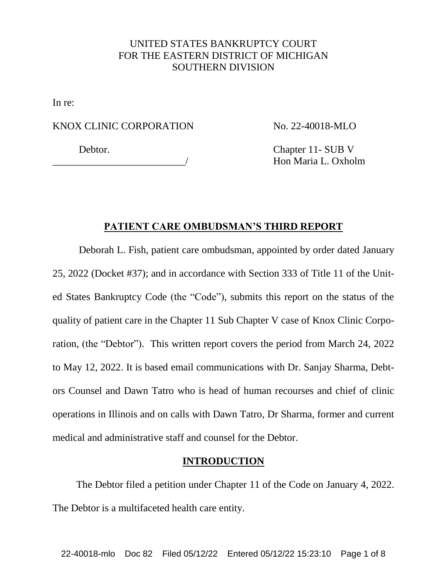# UNITED STATES BANKRUPTCY COURT FOR THE EASTERN DISTRICT OF MICHIGAN SOUTHERN DIVISION

In re:

### KNOX CLINIC CORPORATION

\_\_\_\_\_\_\_\_\_\_\_\_\_\_\_\_\_\_\_\_\_\_\_\_\_\_/

No. 22-40018-MLO

Debtor.

Chapter 11- SUB V Hon Maria L. Oxholm

### **PATIENT CARE OMBUDSMAN'S THIRD REPORT**

Deborah L. Fish, patient care ombudsman, appointed by order dated January 25, 2022 (Docket #37); and in accordance with Section 333 of Title 11 of the United States Bankruptcy Code (the "Code"), submits this report on the status of the quality of patient care in the Chapter 11 Sub Chapter V case of Knox Clinic Corporation, (the "Debtor"). This written report covers the period from March 24, 2022 to May 12, 2022. It is based email communications with Dr. Sanjay Sharma, Debtors Counsel and Dawn Tatro who is head of human recourses and chief of clinic operations in Illinois and on calls with Dawn Tatro, Dr Sharma, former and current medical and administrative staff and counsel for the Debtor.

## **INTRODUCTION**

The Debtor filed a petition under Chapter 11 of the Code on January 4, 2022. The Debtor is a multifaceted health care entity.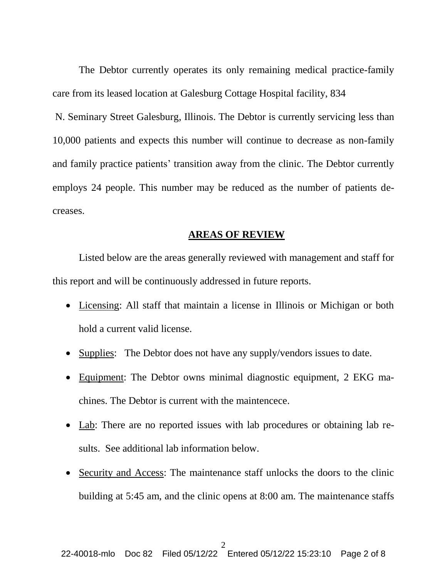The Debtor currently operates its only remaining medical practice-family care from its leased location at Galesburg Cottage Hospital facility, 834

N. Seminary Street Galesburg, Illinois. The Debtor is currently servicing less than 10,000 patients and expects this number will continue to decrease as non-family and family practice patients' transition away from the clinic. The Debtor currently employs 24 people. This number may be reduced as the number of patients decreases.

#### **AREAS OF REVIEW**

Listed below are the areas generally reviewed with management and staff for this report and will be continuously addressed in future reports.

- Licensing: All staff that maintain a license in Illinois or Michigan or both hold a current valid license.
- Supplies: The Debtor does not have any supply/vendors issues to date.
- Equipment: The Debtor owns minimal diagnostic equipment, 2 EKG machines. The Debtor is current with the maintencece.
- Lab: There are no reported issues with lab procedures or obtaining lab results. See additional lab information below.
- Security and Access: The maintenance staff unlocks the doors to the clinic building at 5:45 am, and the clinic opens at 8:00 am. The maintenance staffs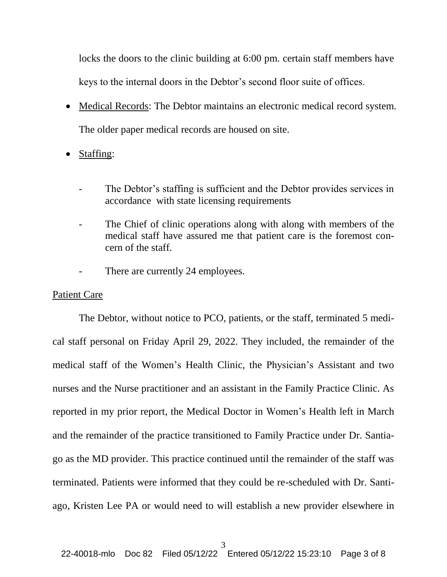locks the doors to the clinic building at 6:00 pm. certain staff members have keys to the internal doors in the Debtor's second floor suite of offices.

- Medical Records: The Debtor maintains an electronic medical record system. The older paper medical records are housed on site.
- Staffing:
	- The Debtor's staffing is sufficient and the Debtor provides services in accordance with state licensing requirements
	- The Chief of clinic operations along with along with members of the medical staff have assured me that patient care is the foremost concern of the staff.
	- There are currently 24 employees.

#### Patient Care

The Debtor, without notice to PCO, patients, or the staff, terminated 5 medical staff personal on Friday April 29, 2022. They included, the remainder of the medical staff of the Women's Health Clinic, the Physician's Assistant and two nurses and the Nurse practitioner and an assistant in the Family Practice Clinic. As reported in my prior report, the Medical Doctor in Women's Health left in March and the remainder of the practice transitioned to Family Practice under Dr. Santiago as the MD provider. This practice continued until the remainder of the staff was terminated. Patients were informed that they could be re-scheduled with Dr. Santiago, Kristen Lee PA or would need to will establish a new provider elsewhere in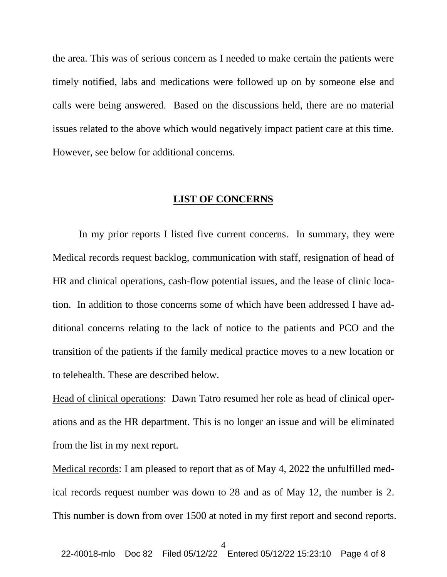the area. This was of serious concern as I needed to make certain the patients were timely notified, labs and medications were followed up on by someone else and calls were being answered. Based on the discussions held, there are no material issues related to the above which would negatively impact patient care at this time. However, see below for additional concerns.

## **LIST OF CONCERNS**

In my prior reports I listed five current concerns. In summary, they were Medical records request backlog, communication with staff, resignation of head of HR and clinical operations, cash-flow potential issues, and the lease of clinic location. In addition to those concerns some of which have been addressed I have additional concerns relating to the lack of notice to the patients and PCO and the transition of the patients if the family medical practice moves to a new location or to telehealth. These are described below.

Head of clinical operations: Dawn Tatro resumed her role as head of clinical operations and as the HR department. This is no longer an issue and will be eliminated from the list in my next report.

Medical records: I am pleased to report that as of May 4, 2022 the unfulfilled medical records request number was down to 28 and as of May 12, the number is 2. This number is down from over 1500 at noted in my first report and second reports.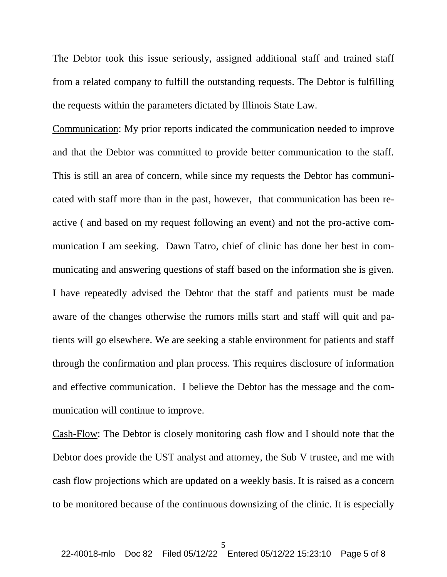The Debtor took this issue seriously, assigned additional staff and trained staff from a related company to fulfill the outstanding requests. The Debtor is fulfilling the requests within the parameters dictated by Illinois State Law.

Communication: My prior reports indicated the communication needed to improve and that the Debtor was committed to provide better communication to the staff. This is still an area of concern, while since my requests the Debtor has communicated with staff more than in the past, however, that communication has been reactive ( and based on my request following an event) and not the pro-active communication I am seeking. Dawn Tatro, chief of clinic has done her best in communicating and answering questions of staff based on the information she is given. I have repeatedly advised the Debtor that the staff and patients must be made aware of the changes otherwise the rumors mills start and staff will quit and patients will go elsewhere. We are seeking a stable environment for patients and staff through the confirmation and plan process. This requires disclosure of information and effective communication. I believe the Debtor has the message and the communication will continue to improve.

Cash-Flow: The Debtor is closely monitoring cash flow and I should note that the Debtor does provide the UST analyst and attorney, the Sub V trustee, and me with cash flow projections which are updated on a weekly basis. It is raised as a concern to be monitored because of the continuous downsizing of the clinic. It is especially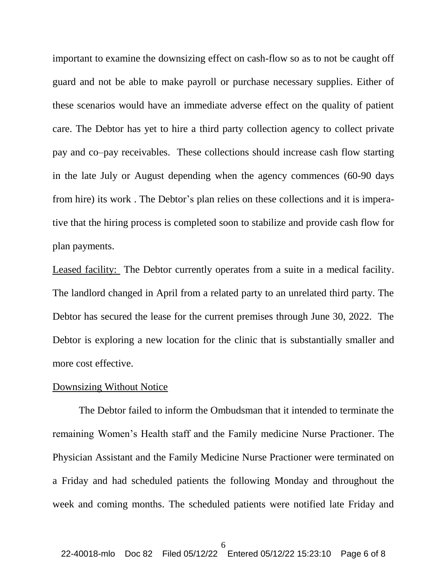important to examine the downsizing effect on cash-flow so as to not be caught off guard and not be able to make payroll or purchase necessary supplies. Either of these scenarios would have an immediate adverse effect on the quality of patient care. The Debtor has yet to hire a third party collection agency to collect private pay and co–pay receivables. These collections should increase cash flow starting in the late July or August depending when the agency commences (60-90 days from hire) its work . The Debtor's plan relies on these collections and it is imperative that the hiring process is completed soon to stabilize and provide cash flow for plan payments.

Leased facility: The Debtor currently operates from a suite in a medical facility. The landlord changed in April from a related party to an unrelated third party. The Debtor has secured the lease for the current premises through June 30, 2022. The Debtor is exploring a new location for the clinic that is substantially smaller and more cost effective.

#### Downsizing Without Notice

The Debtor failed to inform the Ombudsman that it intended to terminate the remaining Women's Health staff and the Family medicine Nurse Practioner. The Physician Assistant and the Family Medicine Nurse Practioner were terminated on a Friday and had scheduled patients the following Monday and throughout the week and coming months. The scheduled patients were notified late Friday and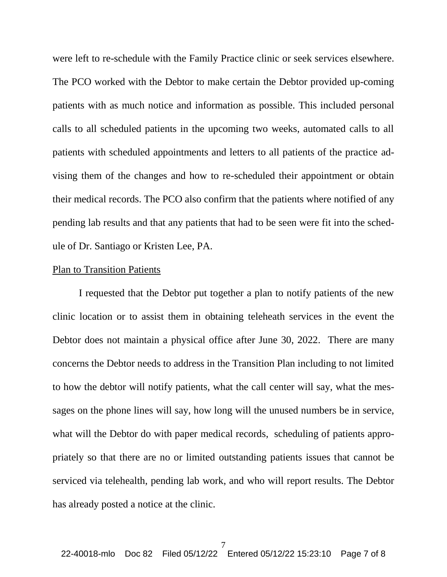were left to re-schedule with the Family Practice clinic or seek services elsewhere. The PCO worked with the Debtor to make certain the Debtor provided up-coming patients with as much notice and information as possible. This included personal calls to all scheduled patients in the upcoming two weeks, automated calls to all patients with scheduled appointments and letters to all patients of the practice advising them of the changes and how to re-scheduled their appointment or obtain their medical records. The PCO also confirm that the patients where notified of any pending lab results and that any patients that had to be seen were fit into the schedule of Dr. Santiago or Kristen Lee, PA.

#### Plan to Transition Patients

I requested that the Debtor put together a plan to notify patients of the new clinic location or to assist them in obtaining teleheath services in the event the Debtor does not maintain a physical office after June 30, 2022. There are many concerns the Debtor needs to address in the Transition Plan including to not limited to how the debtor will notify patients, what the call center will say, what the messages on the phone lines will say, how long will the unused numbers be in service, what will the Debtor do with paper medical records, scheduling of patients appropriately so that there are no or limited outstanding patients issues that cannot be serviced via telehealth, pending lab work, and who will report results. The Debtor has already posted a notice at the clinic.